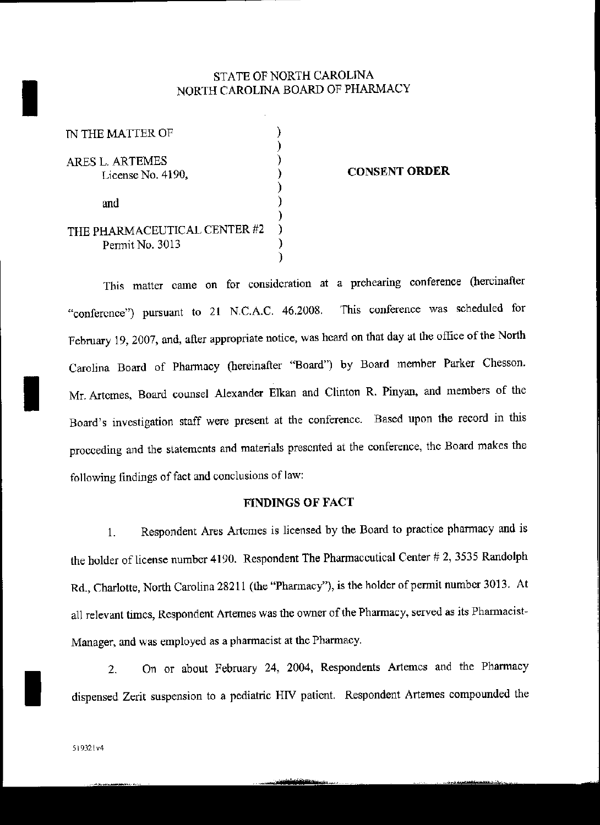## STATE OF NORTH CAROLINA NORTH CAROLINA BOARD OF PHARMACY

| IN THE MATTER OF                                |  |
|-------------------------------------------------|--|
| ARES L. ARTEMES<br>License No. 4190,            |  |
| and                                             |  |
| THE PHARMACEUTICAL CENTER #2<br>Permit No. 3013 |  |

I

#### CONSENT ORDER

This matter came on for consideration at a prehearing conference (hereinafter "conference") pursuant to 21 N.C.A.C. 46.2008. This conference was scheduled for February 19, 2007, and, after appropriate notice, was heard on that day at the office of the North Carolina Board of Pharmacy (hereinafter "Board") by Board member Parker Chesson.<br>Mr. Artemes, Board counsel Alexander Elkan and Clinton R. Pinyan, and members of the Board's investigation staff were present at the conference. Based upon the record in this proceeding and the statements and materials presented at the conference, the Board makes the following findings of fact and conclusions of law:

### FINDINGS OF FACT

1. Respondent Ares Artemes is licensed by the Board to practice phannacy and is the holder of license number 4190. Respondent The Pharmaceutical Center  $#2$ , 3535 Randolph Rd., Charlotte, North Carolina 28211 (the "Pharmacy"), is the holder of permit number 3013. At all relevant times, Respondent Artemes was the owner of the Pharmacy, served as its Pharmacist-Manager, and was employed as a pharmacist at the Pharmacy.

2. On or about February 24, 2004, Respondents Artemes and the Pharmacy dispensed Zerit suspension to a pediatric HN patient. Respondent Artemes compounded the

I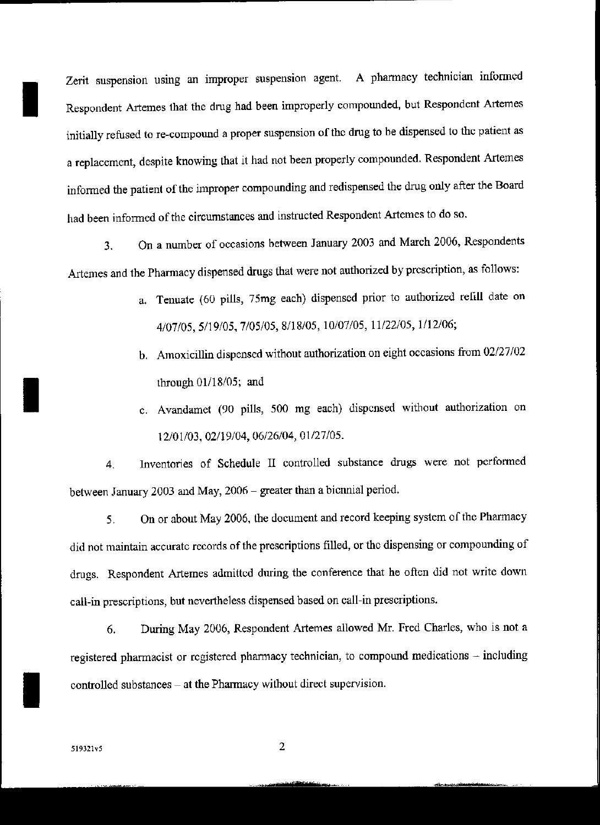Zerit suspension using an improper suspension agent. A pharmacy technician informed Respondent Artemes that the drug had been improperly compounded, but Respondent Artemes initially refused to re-compound a proper suspension of the drug to he dispensed to the patient as a replacement, despite knowing that it had not been properly compounded. Respondent Artemes infonned the patient of the improper compounding and redispensed the drug only after the Board had been informed of the circumstances and instructed Respondent Artemes to do so.

3. On a number of occasions between January 2003 and March 2006, Respondents Artemes and the Pharmacy dispensed drugs that were not authorized by prescription, as follows:

- a. Tenuate (60 pills, 75mg each) dispensed prior to authorized refill date on 4107/05,5/19/05,7/05/05,8/18105,10/07/05,11/22/05,1/12/06;
- b. Amoxicillin dispensed without authorization on eight occasions from 02/27/02 through  $01/18/05$ ; and
- c. Avandarnet (90 pills, 500 mg each) dispensed without authorization on 12/01/03,02/19104,06/26/04,01/27/05.

4. Inventories of Schedule II controlled substance drugs were not perfonned between January 2003 and May, 2006 - greater than a biennial period.

5. On or about May 2006, the document and record keeping system of the Pharmacy did not maintain accurate records of the prescriptions filled, or the dispensing or compounding of drugs. Respondent Artemes admitted during the conference that he often did not write down call-in prescriptions, but nevertheless dispensed based on call-in prescriptions.

6. During May 2006, Respondent Artemes allowed Mr. Fred Charles, who is not a registered pharmacist or registered pharmacy technician, to compound medications - including controlled substances - at the Pharmacy without direct supervision.

**I** 

I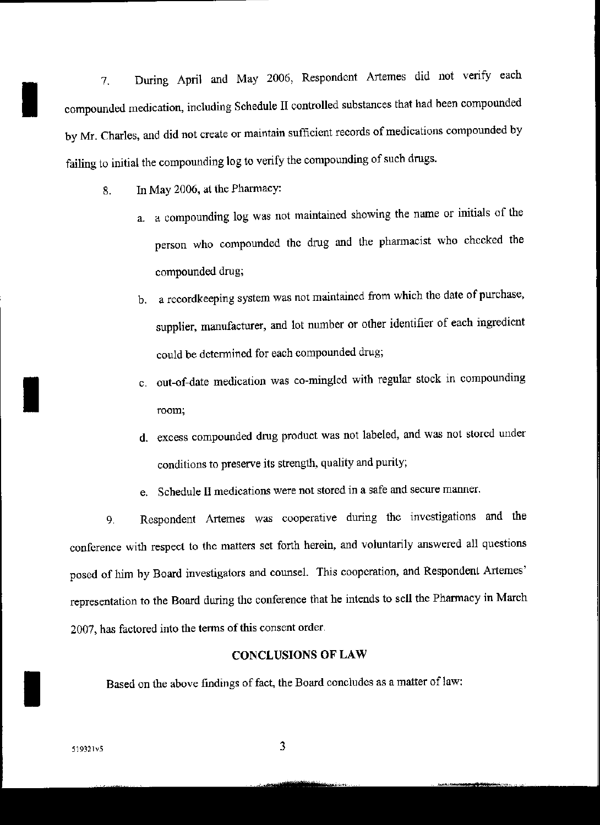7. During April and May 2006, Respondent ATtemes did not verify each compounded medication, including Schedule II controlled substances that had been compounded by Mr. Charles, and did not create or maintain sufficient records of medications compounded by failing to initial the compounding log to verify the compounding of such drugs.

8. In May 2006, at the Pharmacy:

I

I

- a. a compounding log was not maintained showing the name or initials of the person who compounded the drug and the phannacist who checked the compounded drug;
- b. a recordkeeping system was not maintained from which the date of purchase, supplier, manufacturer, and lot number or other identifier of each ingredient could be detennined for each compounded drug;
- c. out-of-date medication was co-mingled with regular stock in compounding room;
- d. excess compounded drug product was not labeled, and was not stored under conditions to preserve its strength, quality and purity;
- e. Schedule II medications were not stored in a safe and secure manner.

9. Respondent Artemes was cooperative during the investigations and the conference with respect to the matters set forth herein, and voluntarily answered all questions posed of him by Board investigators and counsel. This cooperation, and Respondent Artemes' representation to the Board during the conference that he intends to sell the Phannacy in March 2007, has factored into the terms of this consent order.

CONCLUSIONS OF LAW<br>Based on the above findings of fact, the Board concludes as a matter of law: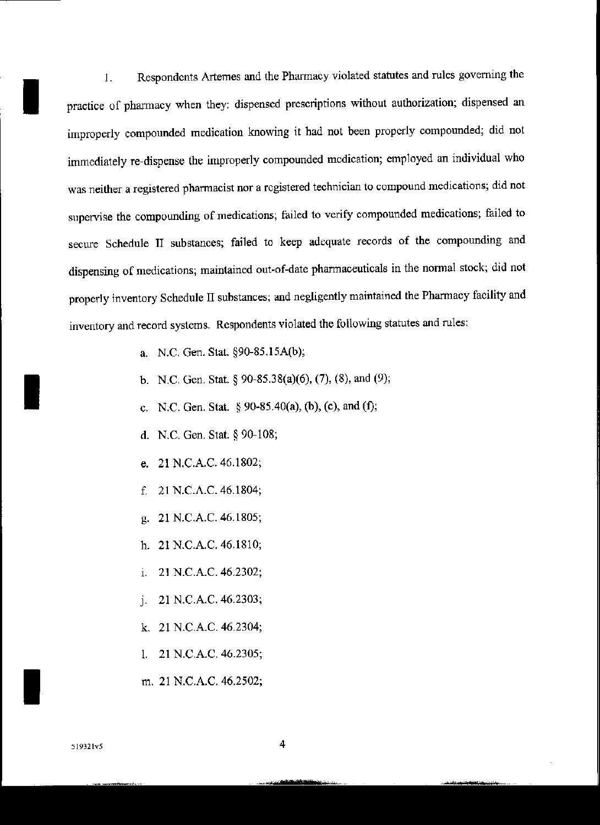**1. Respondents Artemes and the Pharmacy violated statutes and rules governing the practice of pharmacy when they: dispensed prescriptions without authorization; dispensed an improperly compounded medication knowing it had not been properly compounded; did not immediately re-dispense the improperly compounded medication; employed an individual who was neither a registered pharmacist nor a registered technician to compound medications; did not sllpenrise the compounding of medications; failed to verify compounded medications; failed to secure Schedule II substances; failed to keep adequate records of the compounding and dispensing of medications; maintained out·of-date pharmaceuticals in the nonna! stock; did not properly inventory Schedule II substances; and negligently maintained the Pharmacy facility and inventory and record systems. Respondents violated the following statutes and rules:**

- a. N.C. Gen. Stat. §90-85.15A(b);
- b. N.C. Gen. Stat. § 90-85.38(a)(6), (7), (8), and (9);
- c. N.C. Gen. Stat.  $\S 90-85.40(a)$ , (b), (c), and (f);
- d. N.C. Gen. Stat. § 90-108;
- e. 21 N.C.A.C. 46.1802;
- f. 21 N.C.A.C. 46.1804;
- g. 21 N.C.A.C. 46.1805;
- h. 21 N.C.A.C. 46.1810;
- 1. 21 N.C.A.C. 46.2302;
- J. 21 N.C.A.C. 46.2303;
- k. 21 N.C.A.C. 46.2304;
- 1. 21 N.C.A.C. 46.2305;
- m. 21 N.C.A.C. 46.2502;

I

I

I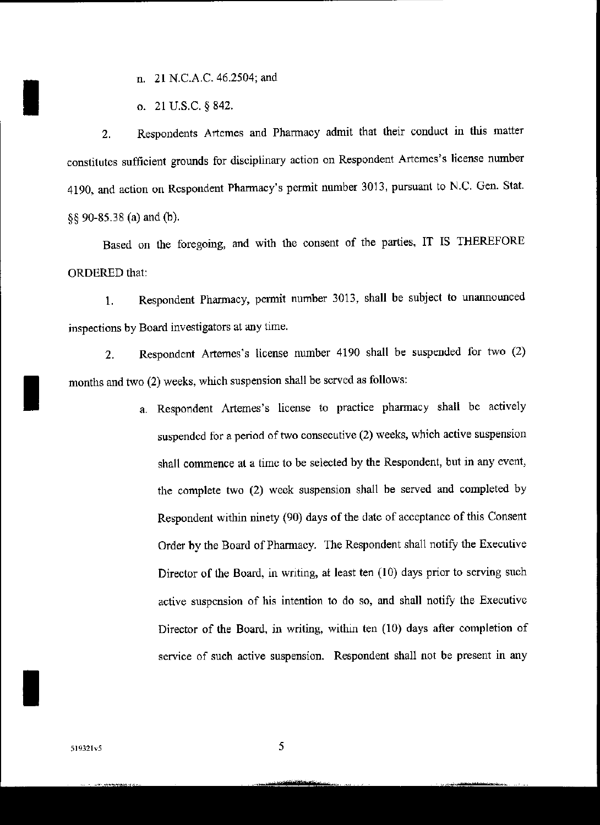n. 21 N.C.A.C. 46.2504; and

o. 21 U.S.c. § 842.

I

I

I

2. Respondents Artemes and Pharmacy admit that their conduct in this matter constitutes sufficient grounds for disciplinary action on Respondent Artemes's license number 4190, and action on Respondent Pharmacy's pennit number 3013, pursuant to N.C. Gen. Stat. §§ 90-85.38 (a) and (h).

Based on the foregoing, and with the consent of the parties, IT IS THEREFORE ORDERED that:

1. Respondent Pharmacy, permit number 3013, shall be subject to unannounced inspections by Board investigators at any time.

2. Respondent Artemes's license number 4190 shalt be suspended for two (2) months and two (2) weeks, which suspension shall be served as follows:

> a. Respondent Artemes's license to practice pharmacy shall be actively suspended for a period of two consecutive (2) weeks, which active suspension shalt commence at a time to be selected by the Respondent, but in any event, the complete two (2) week suspension shall be served and completed by Respondent within ninety (90) days of the date of acceptance of this Consent Order by the Board of Pharmacy. The Respondent shall notify the Executive Director of the Board, in writing, at least ten (10) days prior to serving such active suspension of his intention to do so, and shall notify the Executive Director of the Board, in writing, within ten (10) days after completion of service of such active suspension. Respondent shall not be present in any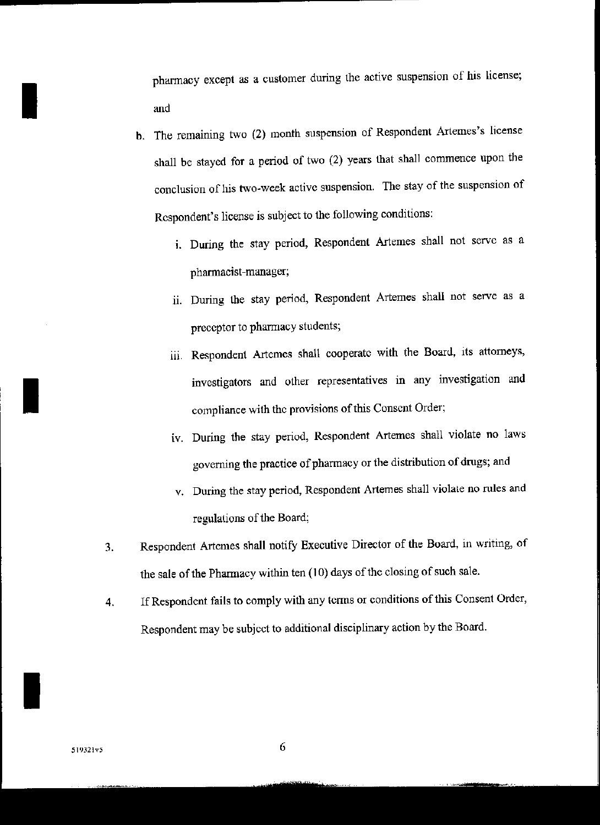pharmacy except as a customer during the active suspension of his license; and

- b. The remaining two (2) month suspension of Respondent Artemes's license shall be stayed for a period of two (2) years that shall commence upon the conclusion of his two~week active suspension. The stay of the suspension of Respondent's license is subject to the following conditions:
	- 1. During the stay period, Respondent Artemes shall not serve as a pharmacist-manager;
	- ii. During the stay period, Respondent Artemes shall not serve as a preceptor to pharmacy students;
	- iii. Respondent Artemes shall cooperate with the Board, its attorneys, investigators and other representatives in any investigation and compliance with the provisions of this Consent Order;
	- iv. During the stay period, Respondent Artemes shall violate no laws governing the practice of pharmacy or the distribution of drugs; and
	- v. During the stay period, Respondent Artemes shall violale no rules and regulations of the Board;
- 3. Respondent Artemes shall notify Executive Director of the Board, in writing, of the sale of the Pharmacy within ten (10) days of the closing of such sale.
- 4. IfRespondent fails to comply with any terms or conditions ofthis Consent Order, Respondent may be subject to additional disciplinary action by the Board.

I

I

I

G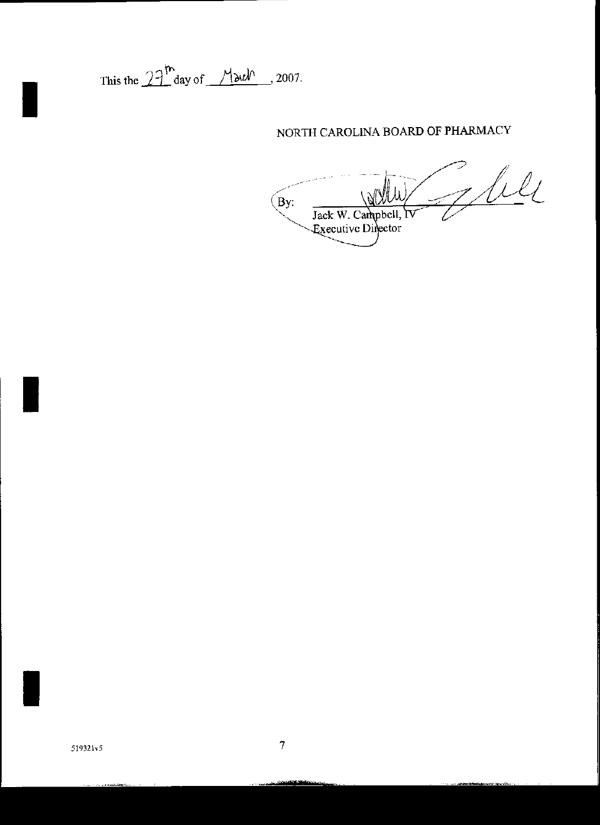This the  $27^{\text{th}}$  day of  $M$  and  $\sim$  2007.

## NORTH CAROLINA BOARD OF PHARMACY

Juli  $By:$ Jack W. Campbell, IV Executive Director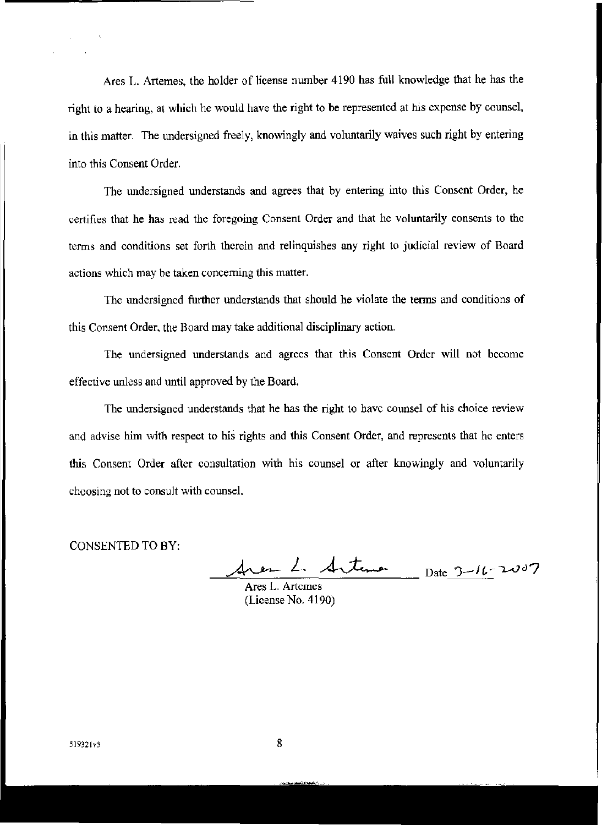Ares L. Artemes, the holder of license number 4190 has full knowledge that he has the right to a hearing, at which he would have the right to be represented at his expense by counsel, in this matter. The undersigned freely, knowingly and voluntarily waives such right by entering into this Consent Order.

The undersigned understands and agrees that by entering into this Consent Order, he certifies that he has read the foregoing Consent Order and that he voluntarily consents to the terms and conditions set forth therein and relinquishes any right to judicial review of Board actions which may be taken concerning this matter.

The undersigned further understands that should he violate the terms and conditions of this Consent Order, the Board may take additional disciplinary action.

The undersigned understands and agrees that this Consent Order will not become effective unless and until approved by the Board.

The undersigned understands that he has the right to have counsel of his choice review and advise him with respect to his rights and this Consent Order, and represents that he enters this Consent Order after consultation with his counsel or after knowingly and voluntarily choosing not to consult with counsel.

CONSENTED TO BY,

free 1. <u>Antena Date 3-16-</u>2007

Ares L. Artemes (License No. 4190)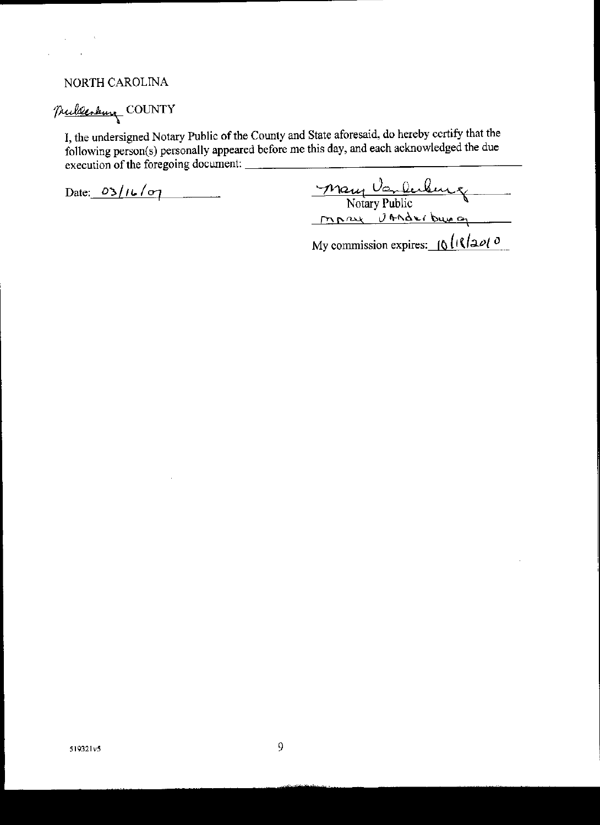## NORTH CAROLINA

 $\sqrt{1-\beta}$  ,  $\beta$ 

 $\epsilon$ 

 $\ddot{\phantom{1}}$ 

# Mullenburg COUNTY

I, the undersigned Notary Public of the County and State aforesaid, do hereby certify that the following person(s) personally appeared before me this day, and each acknowledged the due execution of the foregoing document:

Date:  $03/16/07$ 

÷,

Mary Vanlendence

My commission expires:  $\int_0^1 \left(\sqrt{2\omega/\sigma}\right)$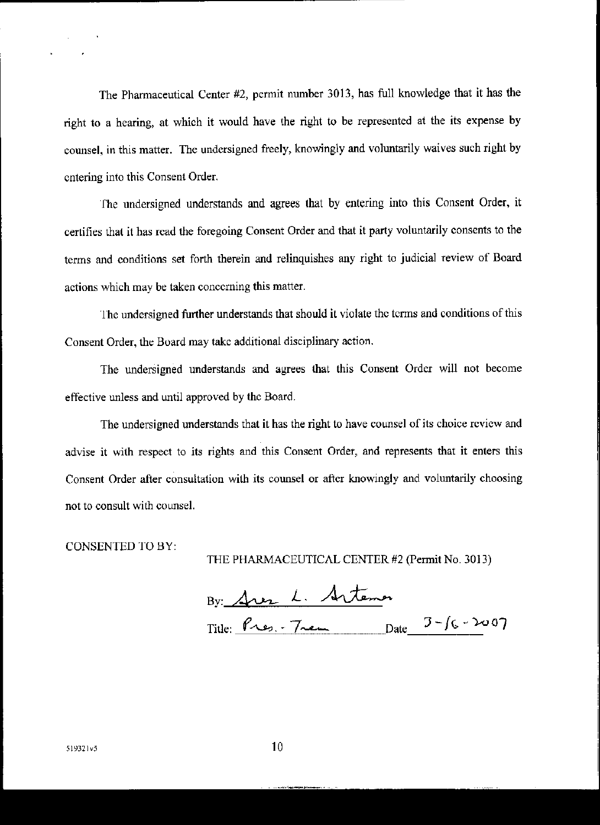The Pharmaceutical Center #2, permit number 3013, has full knowledge that it has the right to a hearing, at which it would have the right to be represented at the its expense by counsel, in this matter. The undersigned freely, knowingly and voluntarily waives such right by entering into this Consent Order.

The undersigned understands and agrees that by entering into this Consent Order, it certifies that it has read the foregoing Consent Order and that it party voluntarily consents to the terms and conditions set forth therein and relinquishes any right to judicial review of Board actions which may be taken concerning this matter.

The undersigned further understands that should it violate the terms and conditions of this Consent Order, the Board may takc additional disciplinary action.

The undersigned understands and agrees that this Consent Order will not become effective unless and until approved by the Board.

The undersigned understands that it has the right to have counsel of its choice review and advise it with respect to its rights and this Consent Order, and represents that it enters this Consent Order after consultation with its counsel or after knowingly and voluntarily choosing not to consult with counsel.

CONSENTED TO BY:

THE PHARMACEUTICAL CENTER #2 (Permit No. 3013)

By Area L. Arteman Title:  $P_{12,7} - T_{22,1} - T_{22,1} - T_{22,1} - T_{22,1} - T_{22,1} - T_{22,1} - T_{22,1} - T_{22,1} - T_{22,1} - T_{22,1} - T_{22,1} - T_{22,1} - T_{22,1} - T_{22,1} - T_{22,1} - T_{22,1} - T_{22,1} - T_{22,1} - T_{22,1} - T_{22,1} - T_{22,1} - T_{22,1} - T_{22,1} - T_{22,1} - T_{22,1} - T_{22,$